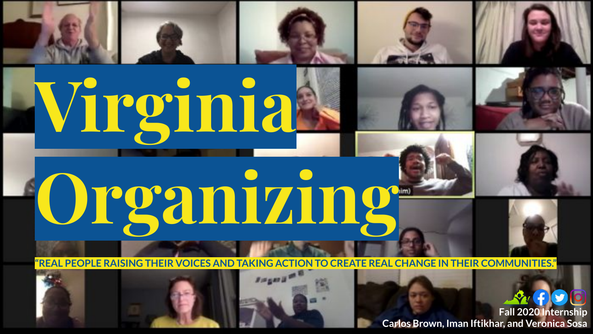

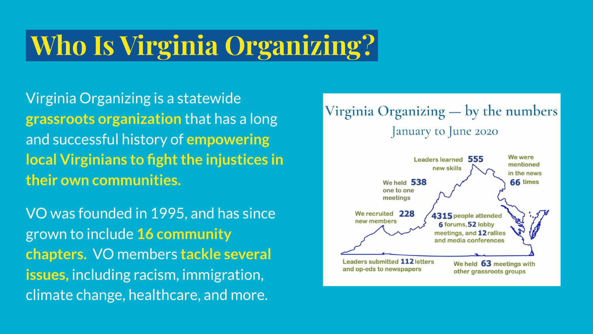## **Who Is Virginia Organizing?.**

Virginia Organizing is a statewide **grassroots organization** that has a long and successful history of **empowering local Virginians to fight the injustices in their own communities.** 

VO was founded in 1995, and has since grown to include **16 community chapters.** VO members **tackle several issues,** including racism, immigration, climate change, healthcare, and more.

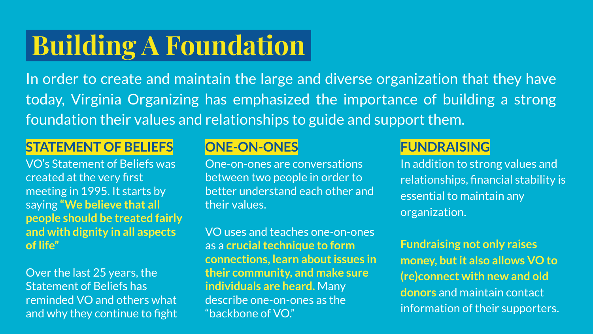## **Building A Foundation.**

In order to create and maintain the large and diverse organization that they have today, Virginia Organizing has emphasized the importance of building a strong foundation their values and relationships to guide and support them.

### **STATEMENT OF BELIEFS**

VO's Statement of Beliefs was created at the very first meeting in 1995. It starts by saying **"We believe that all people should be treated fairly and with dignity in all aspects of life"**

Over the last 25 years, the Statement of Beliefs has reminded VO and others what and why they continue to fight

### **ONE-ON-ONES**

One-on-ones are conversations between two people in order to better understand each other and their values.

VO uses and teaches one-on-ones as a **crucial technique to form connections, learn about issues in their community, and make sure individuals are heard.** Many describe one-on-ones as the "backbone of VO."

### **FUNDRAISING**

In addition to strong values and relationships, financial stability is essential to maintain any organization.

**Fundraising not only raises money, but it also allows VO to (re)connect with new and old donors** and maintain contact information of their supporters.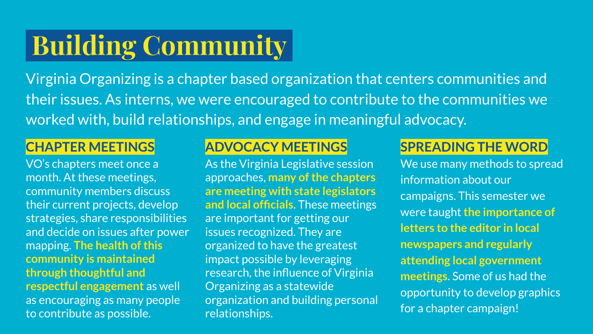# **Building Community .**

Virginia Organizing is a chapter based organization that centers communities and their issues. As interns, we were encouraged to contribute to the communities we worked with, build relationships, and engage in meaningful advocacy.

#### **CHAPTER MEETINGS**

VO's chapters meet once a month. At these meetings, community members discuss their current projects, develop strategies, share responsibilities and decide on issues after power mapping. **The health of this community is maintained through thoughtful and respectful engagement** as well as encouraging as many people to contribute as possible.

### **ADVOCACY MEETINGS**

As the Virginia Legislative session approaches, **many of the chapters are meeting with state legislators and local officials**. These meetings are important for getting our issues recognized. They are organized to have the greatest impact possible by leveraging research, the influence of Virginia Organizing as a statewide organization and building personal relationships.

## **SPREADING THE WORD**

We use many methods to spread information about our campaigns. This semester we were taught **the importance of letters to the editor in local newspapers and regularly attending local government meetings**. Some of us had the opportunity to develop graphics for a chapter campaign!